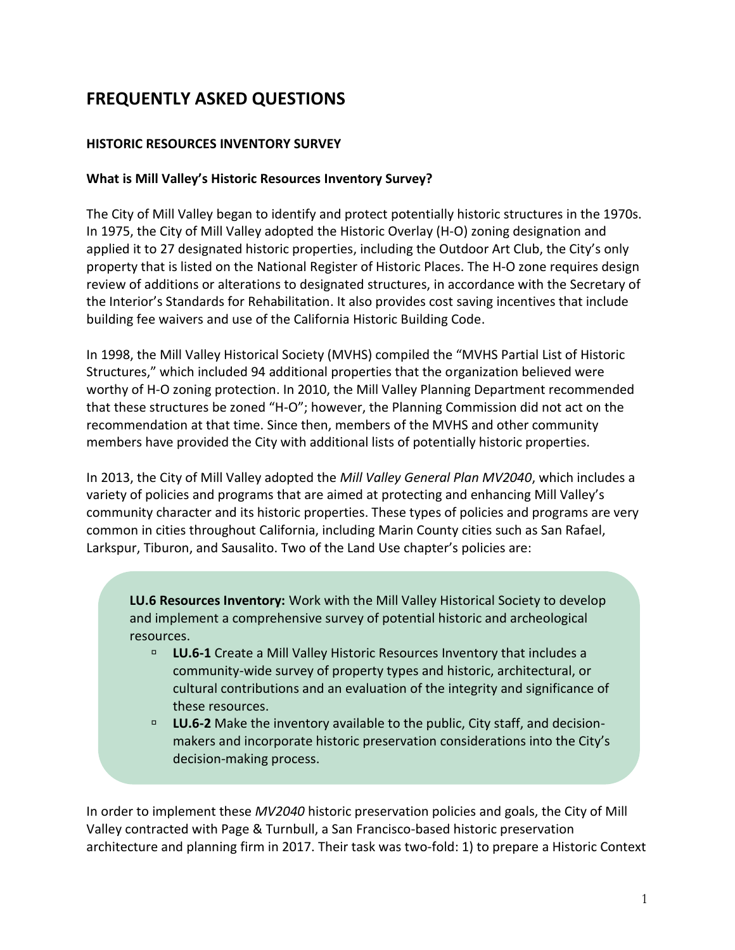# **FREQUENTLY ASKED QUESTIONS**

## **HISTORIC RESOURCES INVENTORY SURVEY**

#### **What is Mill Valley's Historic Resources Inventory Survey?**

The City of Mill Valley began to identify and protect potentially historic structures in the 1970s. In 1975, the City of Mill Valley adopted the Historic Overlay (H-O) zoning designation and applied it to 27 designated historic properties, including the Outdoor Art Club, the City's only property that is listed on the National Register of Historic Places. The H-O zone requires design review of additions or alterations to designated structures, in accordance with the Secretary of the Interior's Standards for Rehabilitation. It also provides cost saving incentives that include building fee waivers and use of the California Historic Building Code.

In 1998, the Mill Valley Historical Society (MVHS) compiled the "MVHS Partial List of Historic Structures," which included 94 additional properties that the organization believed were worthy of H-O zoning protection. In 2010, the Mill Valley Planning Department recommended that these structures be zoned "H-O"; however, the Planning Commission did not act on the recommendation at that time. Since then, members of the MVHS and other community members have provided the City with additional lists of potentially historic properties.

In 2013, the City of Mill Valley adopted the *Mill Valley General Plan MV2040*, which includes a variety of policies and programs that are aimed at protecting and enhancing Mill Valley's community character and its historic properties. These types of policies and programs are very common in cities throughout California, including Marin County cities such as San Rafael, Larkspur, Tiburon, and Sausalito. Two of the Land Use chapter's policies are:

**LU.6 Resources Inventory:** Work with the Mill Valley Historical Society to develop and implement a comprehensive survey of potential historic and archeological resources.

- **LU.6-1** Create a Mill Valley Historic Resources Inventory that includes a community-wide survey of property types and historic, architectural, or cultural contributions and an evaluation of the integrity and significance of these resources.
- **LU.6-2** Make the inventory available to the public, City staff, and decisionmakers and incorporate historic preservation considerations into the City's decision-making process.

In order to implement these *MV2040* historic preservation policies and goals, the City of Mill Valley contracted with Page & Turnbull, a San Francisco-based historic preservation architecture and planning firm in 2017. Their task was two-fold: 1) to prepare a Historic Context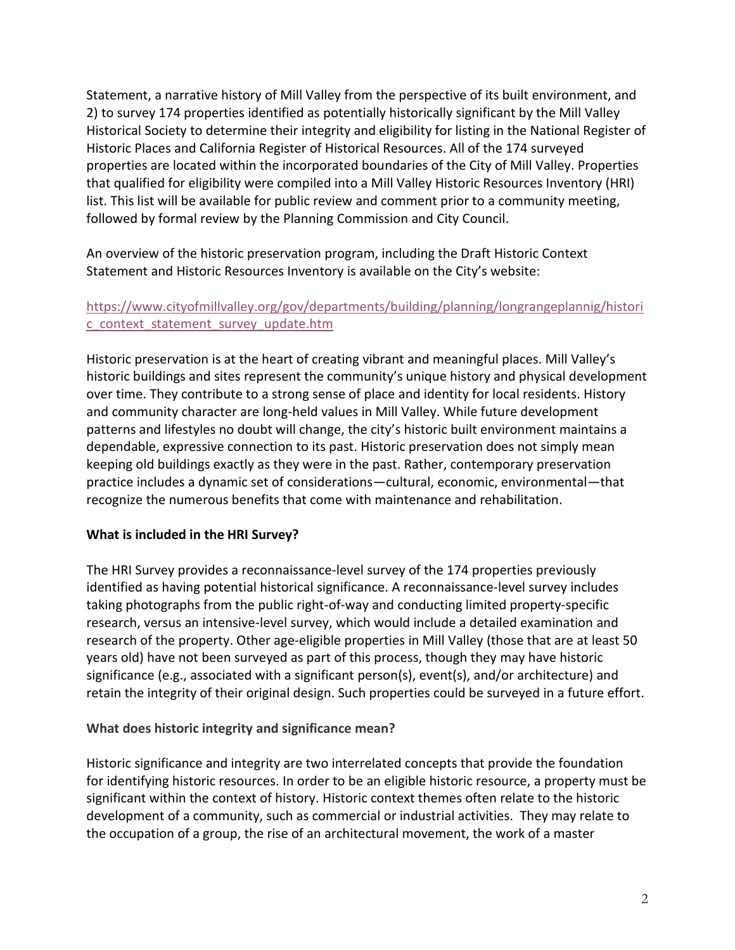Statement, a narrative history of Mill Valley from the perspective of its built environment, and 2) to survey 174 properties identified as potentially historically significant by the Mill Valley Historical Society to determine their integrity and eligibility for listing in the National Register of Historic Places and California Register of Historical Resources. All of the 174 surveyed properties are located within the incorporated boundaries of the City of Mill Valley. Properties that qualified for eligibility were compiled into a Mill Valley Historic Resources Inventory (HRI) list. This list will be available for public review and comment prior to a community meeting, followed by formal review by the Planning Commission and City Council.

An overview of the historic preservation program, including the Draft Historic Context Statement and Historic Resources Inventory is available on the City's website:

# [https://www.cityofmillvalley.org/gov/departments/building/planning/longrangeplannig/histori](https://www.cityofmillvalley.org/gov/departments/building/planning/longrangeplannig/historic_context_statement_survey_update.htm) [c\\_context\\_statement\\_survey\\_update.htm](https://www.cityofmillvalley.org/gov/departments/building/planning/longrangeplannig/historic_context_statement_survey_update.htm)

Historic preservation is at the heart of creating vibrant and meaningful places. Mill Valley's historic buildings and sites represent the community's unique history and physical development over time. They contribute to a strong sense of place and identity for local residents. History and community character are long-held values in Mill Valley. While future development patterns and lifestyles no doubt will change, the city's historic built environment maintains a dependable, expressive connection to its past. Historic preservation does not simply mean keeping old buildings exactly as they were in the past. Rather, contemporary preservation practice includes a dynamic set of considerations—cultural, economic, environmental—that recognize the numerous benefits that come with maintenance and rehabilitation.

## **What is included in the HRI Survey?**

The HRI Survey provides a reconnaissance-level survey of the 174 properties previously identified as having potential historical significance. A reconnaissance-level survey includes taking photographs from the public right-of-way and conducting limited property-specific research, versus an intensive-level survey, which would include a detailed examination and research of the property. Other age-eligible properties in Mill Valley (those that are at least 50 years old) have not been surveyed as part of this process, though they may have historic significance (e.g., associated with a significant person(s), event(s), and/or architecture) and retain the integrity of their original design. Such properties could be surveyed in a future effort.

## **What does historic integrity and significance mean?**

Historic significance and integrity are two interrelated concepts that provide the foundation for identifying historic resources. In order to be an eligible historic resource, a property must be significant within the context of history. Historic context themes often relate to the historic development of a community, such as commercial or industrial activities. They may relate to the occupation of a group, the rise of an architectural movement, the work of a master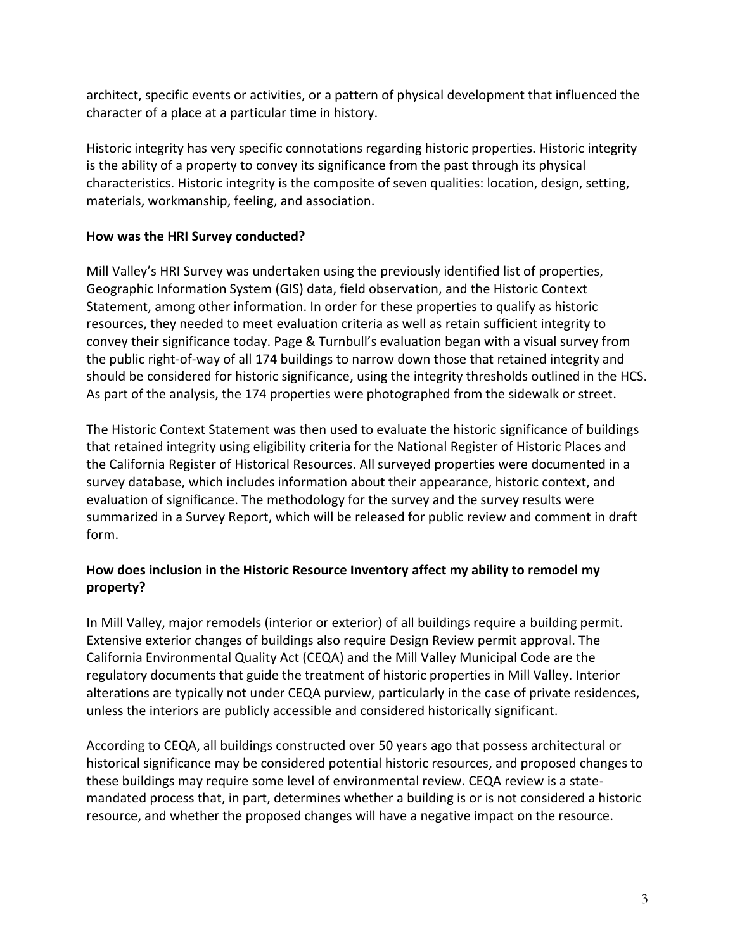architect, specific events or activities, or a pattern of physical development that influenced the character of a place at a particular time in history.

Historic integrity has very specific connotations regarding historic properties. Historic integrity is the ability of a property to convey its significance from the past through its physical characteristics. [Historic integrity](http://www.nps.gov/history/nr/publications/bulletins/nrb34/nrb34_8.htm) is the composite of seven qualities: location, design, setting, materials, workmanship, feeling, and association.

# **How was the HRI Survey conducted?**

Mill Valley's HRI Survey was undertaken using the previously identified list of properties, Geographic Information System (GIS) data, field observation, and the Historic Context Statement, among other information. In order for these properties to qualify as historic resources, they needed to meet evaluation criteria as well as retain sufficient integrity to convey their significance today. Page & Turnbull's evaluation began with a visual survey from the public right-of-way of all 174 buildings to narrow down those that retained integrity and should be considered for historic significance, using the integrity thresholds outlined in the HCS. As part of the analysis, the 174 properties were photographed from the sidewalk or street.

The Historic Context Statement was then used to evaluate the historic significance of buildings that retained integrity using eligibility criteria for the National Register of Historic Places and the California Register of Historical Resources. All surveyed properties were documented in a survey database, which includes information about their appearance, historic context, and evaluation of significance. The methodology for the survey and the survey results were summarized in a Survey Report, which will be released for public review and comment in draft form.

# **How does inclusion in the Historic Resource Inventory affect my ability to remodel my property?**

In Mill Valley, major remodels (interior or exterior) of all buildings require a building permit. Extensive exterior changes of buildings also require Design Review permit approval. The California Environmental Quality Act (CEQA) and the Mill Valley Municipal Code are the regulatory documents that guide the treatment of historic properties in Mill Valley. Interior alterations are typically not under CEQA purview, particularly in the case of private residences, unless the interiors are publicly accessible and considered historically significant.

According to CEQA, all buildings constructed over 50 years ago that possess architectural or historical significance may be considered potential historic resources, and proposed changes to these buildings may require some level of environmental review. CEQA review is a statemandated process that, in part, determines whether a building is or is not considered a historic resource, and whether the proposed changes will have a negative impact on the resource.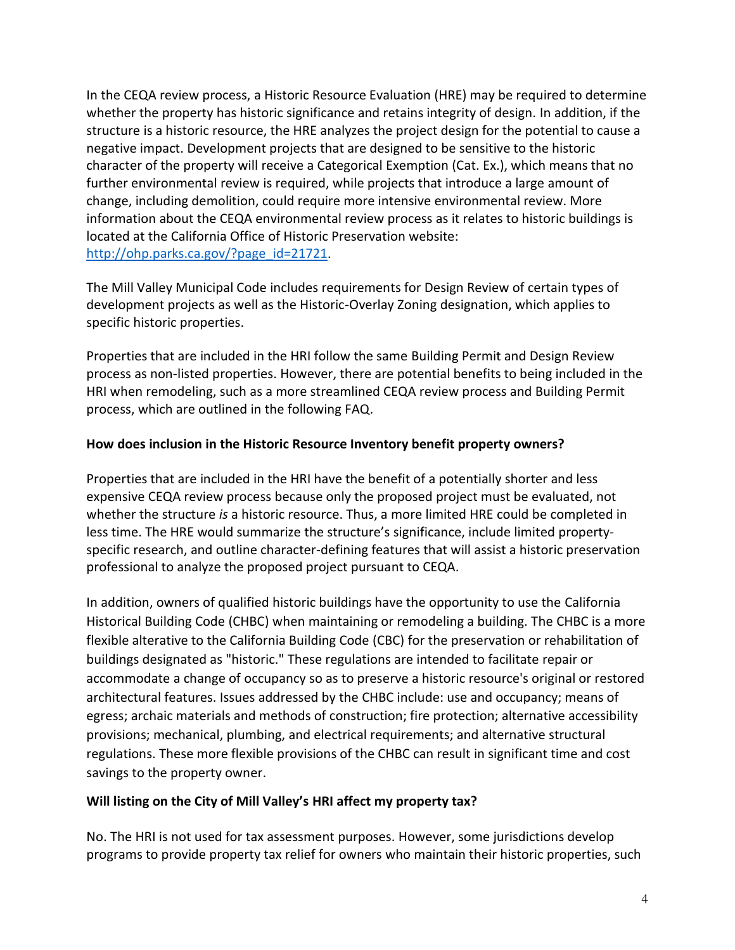In the CEQA review process, a Historic Resource Evaluation (HRE) may be required to determine whether the property has historic significance and retains integrity of design. In addition, if the structure is a historic resource, the HRE analyzes the project design for the potential to cause a negative impact. Development projects that are designed to be sensitive to the historic character of the property will receive a Categorical Exemption (Cat. Ex.), which means that no further environmental review is required, while projects that introduce a large amount of change, including demolition, could require more intensive environmental review. More information about the CEQA environmental review process as it relates to historic buildings is located at the California Office of Historic Preservation website: [http://ohp.parks.ca.gov/?page\\_id=21721](http://ohp.parks.ca.gov/?page_id=21721).

The Mill Valley Municipal Code includes requirements for Design Review of certain types of development projects as well as the Historic-Overlay Zoning designation, which applies to specific historic properties.

Properties that are included in the HRI follow the same Building Permit and Design Review process as non-listed properties. However, there are potential benefits to being included in the HRI when remodeling, such as a more streamlined CEQA review process and Building Permit process, which are outlined in the following FAQ.

## **How does inclusion in the Historic Resource Inventory benefit property owners?**

Properties that are included in the HRI have the benefit of a potentially shorter and less expensive CEQA review process because only the proposed project must be evaluated, not whether the structure *is* a historic resource. Thus, a more limited HRE could be completed in less time. The HRE would summarize the structure's significance, include limited propertyspecific research, and outline character-defining features that will assist a historic preservation professional to analyze the proposed project pursuant to CEQA.

In addition, owners of qualified historic buildings have the opportunity to use the [California](http://www.ohp.parks.ca.gov/?page_id=21410)  [Historical Building Code](http://www.ohp.parks.ca.gov/?page_id=21410) (CHBC) when maintaining or remodeling a building. The CHBC is a more flexible alterative to the California Building Code (CBC) for the preservation or rehabilitation of buildings designated as "historic." These regulations are intended to facilitate repair or accommodate a change of occupancy so as to preserve a historic resource's original or restored architectural features. Issues addressed by the CHBC include: use and occupancy; means of egress; archaic materials and methods of construction; fire protection; alternative accessibility provisions; mechanical, plumbing, and electrical requirements; and alternative structural regulations. These more flexible provisions of the CHBC can result in significant time and cost savings to the property owner.

#### **Will listing on the City of Mill Valley's HRI affect my property tax?**

No. The HRI is not used for tax assessment purposes. However, some jurisdictions develop programs to provide property tax relief for owners who maintain their historic properties, such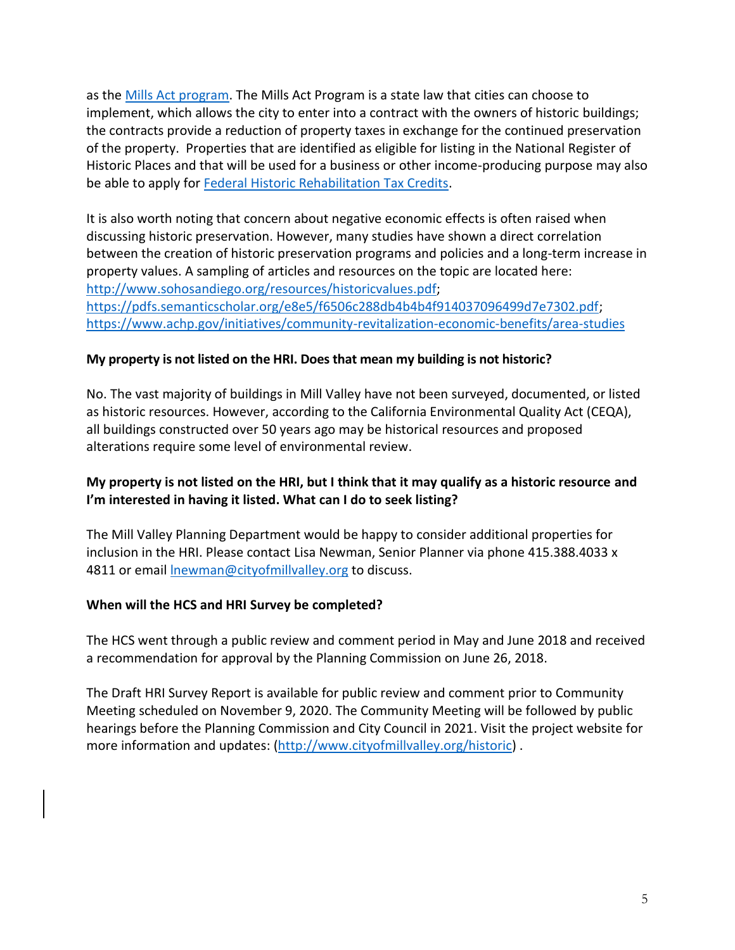as the [Mills Act program.](http://www.ohp.parks.ca.gov/?page_id=21412) The Mills Act Program is a state law that cities can choose to implement, which allows the city to enter into a contract with the owners of historic buildings; the contracts provide a reduction of property taxes in exchange for the continued preservation of the property. Properties that are identified as eligible for listing in the National Register of Historic Places and that will be used for a business or other income-producing purpose may also be able to apply for **Federal Historic Rehabilitation Tax Credits**.

It is also worth noting that concern about negative economic effects is often raised when discussing historic preservation. However, many studies have shown a direct correlation between the creation of historic preservation programs and policies and a long-term increase in property values. A sampling of articles and resources on the topic are located here: [http://www.sohosandiego.org/resources/historicvalues.pdf;](http://www.sohosandiego.org/resources/historicvalues.pdf) [https://pdfs.semanticscholar.org/e8e5/f6506c288db4b4b4f914037096499d7e7302.pdf;](https://pdfs.semanticscholar.org/e8e5/f6506c288db4b4b4f914037096499d7e7302.pdf) <https://www.achp.gov/initiatives/community-revitalization-economic-benefits/area-studies>

#### **My property is not listed on the HRI. Does that mean my building is not historic?**

No. The vast majority of buildings in Mill Valley have not been surveyed, documented, or listed as historic resources. However, according to the California Environmental Quality Act (CEQA), all buildings constructed over 50 years ago may be historical resources and proposed alterations require some level of environmental review.

## **My property is not listed on the HRI, but I think that it may qualify as a historic resource and I'm interested in having it listed. What can I do to seek listing?**

The Mill Valley Planning Department would be happy to consider additional properties for inclusion in the HRI. Please contact Lisa Newman, Senior Planner via phone 415.388.4033 x 4811 or email [lnewman@cityofmillvalley.org](file:///C:/Users/lnewman/AppData/Local/Microsoft/Windows/Temporary%20Internet%20Files/Content.Outlook/4Q05H9NZ/lnewman@cityofmillvalley.org) to discuss.

#### **When will the HCS and HRI Survey be completed?**

The HCS went through a public review and comment period in May and June 2018 and received a recommendation for approval by the Planning Commission on June 26, 2018.

The Draft HRI Survey Report is available for public review and comment prior to Community Meeting scheduled on November 9, 2020. The Community Meeting will be followed by public hearings before the Planning Commission and City Council in 2021. Visit the project website for more information and updates: [\(http://www.cityofmillvalley.org/historic\)](http://www.cityofmillvalley.org/historic).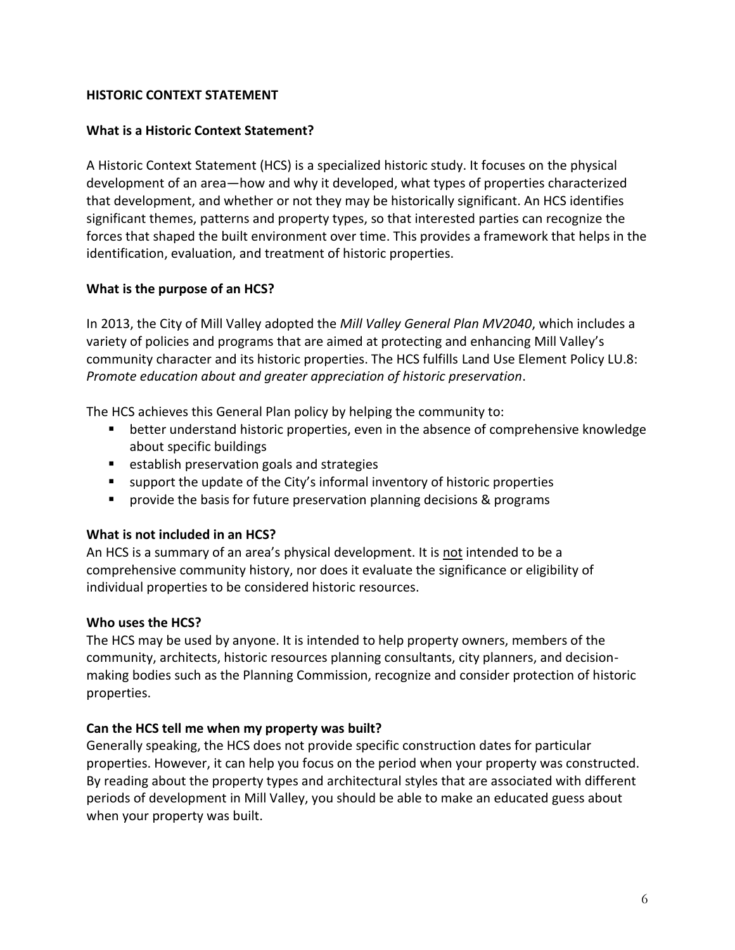## **HISTORIC CONTEXT STATEMENT**

#### **What is a Historic Context Statement?**

A Historic Context Statement (HCS) is a specialized historic study. It focuses on the physical development of an area—how and why it developed, what types of properties characterized that development, and whether or not they may be historically significant. An HCS identifies significant themes, patterns and property types, so that interested parties can recognize the forces that shaped the built environment over time. This provides a framework that helps in the identification, evaluation, and treatment of historic properties.

#### **What is the purpose of an HCS?**

In 2013, the City of Mill Valley adopted the *Mill Valley General Plan MV2040*, which includes a variety of policies and programs that are aimed at protecting and enhancing Mill Valley's community character and its historic properties. The HCS fulfills Land Use Element Policy LU.8: *Promote education about and greater appreciation of historic preservation*.

The HCS achieves this General Plan policy by helping the community to:

- better understand historic properties, even in the absence of comprehensive knowledge about specific buildings
- establish preservation goals and strategies
- support the update of the City's informal inventory of historic properties
- provide the basis for future preservation planning decisions & programs

#### **What is not included in an HCS?**

An HCS is a summary of an area's physical development. It is not intended to be a comprehensive community history, nor does it evaluate the significance or eligibility of individual properties to be considered historic resources.

#### **Who uses the HCS?**

The HCS may be used by anyone. It is intended to help property owners, members of the community, architects, historic resources planning consultants, city planners, and decisionmaking bodies such as the Planning Commission, recognize and consider protection of historic properties.

#### **Can the HCS tell me when my property was built?**

Generally speaking, the HCS does not provide specific construction dates for particular properties. However, it can help you focus on the period when your property was constructed. By reading about the property types and architectural styles that are associated with different periods of development in Mill Valley, you should be able to make an educated guess about when your property was built.